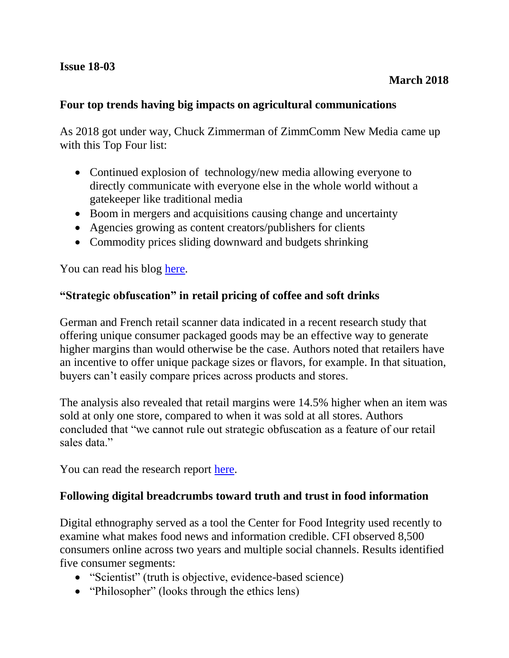### **Four top trends having big impacts on agricultural communications**

As 2018 got under way, Chuck Zimmerman of ZimmComm New Media came up with this Top Four list:

- Continued explosion of technology/new media allowing everyone to directly communicate with everyone else in the whole world without a gatekeeper like traditional media
- Boom in mergers and acquisitions causing change and uncertainty
- Agencies growing as content creators/publishers for clients
- Commodity prices sliding downward and budgets shrinking

You can read his blog [here.](http://agwired.com/2018/01/02/top-4-trends-impacting-agricultural-communications/)

### **"Strategic obfuscation" in retail pricing of coffee and soft drinks**

German and French retail scanner data indicated in a recent research study that offering unique consumer packaged goods may be an effective way to generate higher margins than would otherwise be the case. Authors noted that retailers have an incentive to offer unique package sizes or flavors, for example. In that situation, buyers can't easily compare prices across products and stores.

The analysis also revealed that retail margins were 14.5% higher when an item was sold at only one store, compared to when it was sold at all stores. Authors concluded that "we cannot rule out strategic obfuscation as a feature of our retail sales data"

You can read the research report [here.](http://ageconsearch.umn.edu/record/258021)

### **Following digital breadcrumbs toward truth and trust in food information**

Digital ethnography served as a tool the Center for Food Integrity used recently to examine what makes food news and information credible. CFI observed 8,500 consumers online across two years and multiple social channels. Results identified five consumer segments:

- "Scientist" (truth is objective, evidence-based science)
- "Philosopher" (looks through the ethics lens)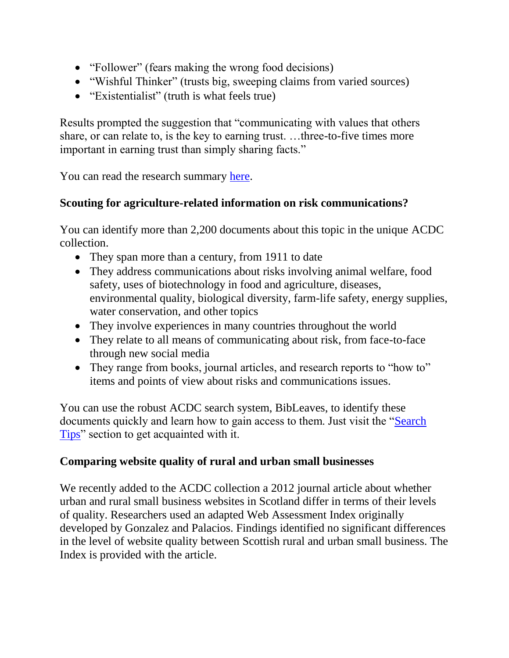- "Follower" (fears making the wrong food decisions)
- "Wishful Thinker" (trusts big, sweeping claims from varied sources)
- "Existentialist" (truth is what feels true)

Results prompted the suggestion that "communicating with values that others share, or can relate to, is the key to earning trust. …three-to-five times more important in earning trust than simply sharing facts."

You can read the research summary [here.](http://www.foodintegrity.org/research/digital-ethnography/)

# **Scouting for agriculture-related information on risk communications?**

You can identify more than 2,200 documents about this topic in the unique ACDC collection.

- They span more than a century, from 1911 to date
- They address communications about risks involving animal welfare, food safety, uses of biotechnology in food and agriculture, diseases, environmental quality, biological diversity, farm-life safety, energy supplies, water conservation, and other topics
- They involve experiences in many countries throughout the world
- They relate to all means of communicating about risk, from face-to-face through new social media
- They range from books, journal articles, and research reports to "how to" items and points of view about risks and communications issues.

You can use the robust ACDC search system, BibLeaves, to identify these documents quickly and learn how to gain access to them. Just visit the ["Search](https://www.library.illinois.edu/funkaces/acdc/searchtips/)  [Tips"](https://www.library.illinois.edu/funkaces/acdc/searchtips/) section to get acquainted with it.

# **Comparing website quality of rural and urban small businesses**

We recently added to the ACDC collection a 2012 journal article about whether urban and rural small business websites in Scotland differ in terms of their levels of quality. Researchers used an adapted Web Assessment Index originally developed by Gonzalez and Palacios. Findings identified no significant differences in the level of website quality between Scottish rural and urban small business. The Index is provided with the article.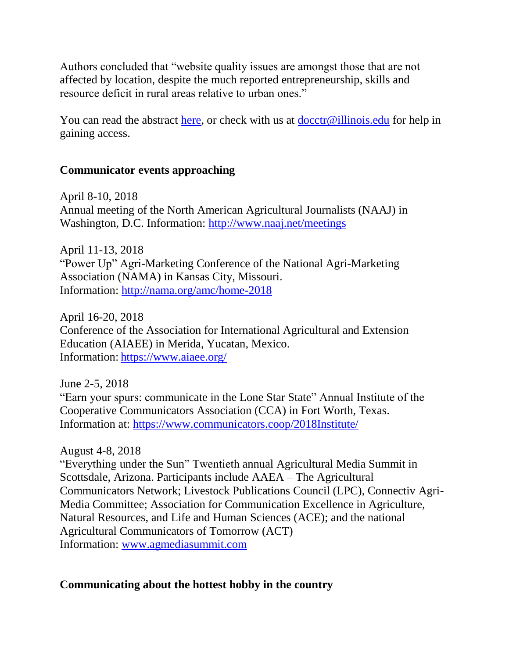Authors concluded that "website quality issues are amongst those that are not affected by location, despite the much reported entrepreneurship, skills and resource deficit in rural areas relative to urban ones."

You can read the abstract [here,](https://www.emeraldinsight.com/doi/abs/10.1108/JSBED-01-2012-0009?fullSc=1&journalCode=jsbed) or check with us at  $\text{docctr@illinois.edu}$  for help in gaining access.

## **Communicator events approaching**

April 8-10, 2018 Annual meeting of the North American Agricultural Journalists (NAAJ) in Washington, D.C. Information:<http://www.naaj.net/meetings>

April 11-13, 2018 "Power Up" Agri-Marketing Conference of the National Agri-Marketing Association (NAMA) in Kansas City, Missouri. Information:<http://nama.org/amc/home-2018>

April 16-20, 2018 Conference of the Association for International Agricultural and Extension Education (AIAEE) in Merida, Yucatan, Mexico. Information: <https://www.aiaee.org/>

June 2-5, 2018 "Earn your spurs: communicate in the Lone Star State" Annual Institute of the Cooperative Communicators Association (CCA) in Fort Worth, Texas. Information at:<https://www.communicators.coop/2018Institute/>

### August 4-8, 2018

"Everything under the Sun" Twentieth annual Agricultural Media Summit in Scottsdale, Arizona. Participants include AAEA – The Agricultural Communicators Network; Livestock Publications Council (LPC), Connectiv Agri-Media Committee; Association for Communication Excellence in Agriculture, Natural Resources, and Life and Human Sciences (ACE); and the national Agricultural Communicators of Tomorrow (ACT) Information: [www.agmediasummit.com](http://www.agmediasummit.com/)

## **Communicating about the hottest hobby in the country**